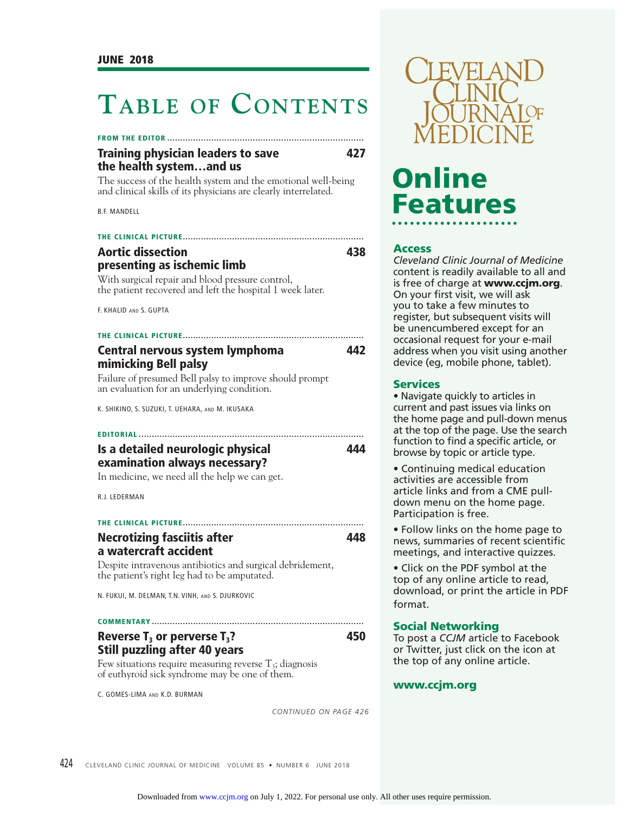## **TABLE OF CONTENTS**

#### **FROM THE EDITOR ............................................................................**

#### **Training physician leaders to save 427 the health system…and us**

The success of the health system and the emotional well-being and clinical skills of its physicians are clearly interrelated.

**THE CLINICAL PICTURE ......................................................................**

B.F. MANDELL

| THE CLINICAL PICTURE |  |  |
|----------------------|--|--|

#### **Aortic dissection 438 presenting as ischemic limb**

With surgical repair and blood pressure control, the patient recovered and left the hospital 1 week later.

F. KHALID AND S. GUPTA

|--|--|--|

#### **Central nervous system lymphoma 442 mimicking Bell palsy**

Failure of presumed Bell palsy to improve should prompt an evaluation for an underlying condition.

K. SHIKINO, S. SUZUKI, T. UEHARA, AND M. IKUSAKA

### **EDITORIAL ....................................................................................... Is a detailed neurologic physical 444 examination always necessary?**

In medicine, we need all the help we can get.

R.J. LEDERMAN

### **THE CLINICAL PICTURE ......................................................................**

#### **Necrotizing fasciitis after 1448 a watercraft accident**

Despite intravenous antibiotics and surgical debridement, the patient's right leg had to be amputated.

N. FUKUI, M. DELMAN, T.N. VINH, AND S. DJURKOVIC

#### **COMMENTARY ..................................................................................** Reverse T<sub>3</sub> or perverse T<sub>3</sub>? 450 **Still puzzling after 40 years**

Few situations require measuring reverse  $T_3$ ; diagnosis of euthyroid sick syndrome may be one of them.

C. GOMES-LIMA AND K.D. BURMAN

*CONTINUED ON PAGE 426*



# **Online Features**

#### **Access**

*Cleveland Clinic Journal of Medicine*  content is readily available to all and is free of charge at **www.ccjm.org**. On your first visit, we will ask you to take a few minutes to register, but subsequent visits will be unencumbered except for an occasional request for your e-mail address when you visit using another device (eg, mobile phone, tablet).

#### **Services**

• Navigate quickly to articles in current and past issues via links on the home page and pull-down menus at the top of the page. Use the search function to find a specific article, or browse by topic or article type.

• Continuing medical education activities are accessible from article links and from a CME pulldown menu on the home page. Participation is free.

• Follow links on the home page to news, summaries of recent scientific meetings, and interactive quizzes.

• Click on the PDF symbol at the top of any online article to read, download, or print the article in PDF format.

#### **Social Networking**

To post a *CCJM* article to Facebook or Twitter, just click on the icon at the top of any online article.

#### **www.ccjm.org**

424 CLEVELAND CLINIC JOURNAL OF MEDICINE VOLUME 85 · NUMBER 6 JUNE 2018